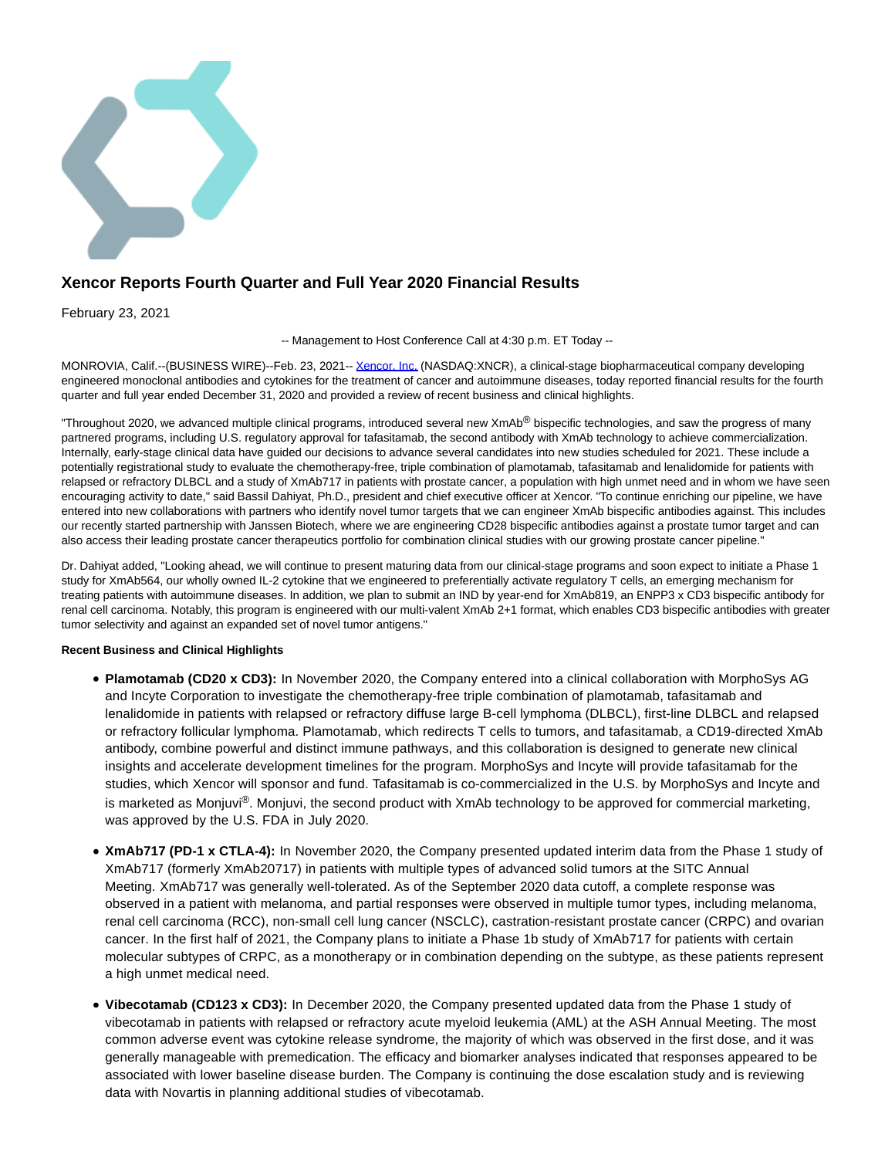

# **Xencor Reports Fourth Quarter and Full Year 2020 Financial Results**

February 23, 2021

-- Management to Host Conference Call at 4:30 p.m. ET Today --

MONROVIA, Calif.--(BUSINESS WIRE)--Feb. 23, 2021-- [Xencor, Inc. \(](https://cts.businesswire.com/ct/CT?id=smartlink&url=https%3A%2F%2Fwww.xencor.com%2F&esheet=52384085&newsitemid=20210223006077&lan=en-US&anchor=Xencor%2C+Inc.&index=1&md5=dd18f801dca8dda4a8439bced8ed0cef)NASDAQ:XNCR), a clinical-stage biopharmaceutical company developing engineered monoclonal antibodies and cytokines for the treatment of cancer and autoimmune diseases, today reported financial results for the fourth quarter and full year ended December 31, 2020 and provided a review of recent business and clinical highlights.

"Throughout 2020, we advanced multiple clinical programs, introduced several new XmAb<sup>®</sup> bispecific technologies, and saw the progress of many partnered programs, including U.S. regulatory approval for tafasitamab, the second antibody with XmAb technology to achieve commercialization. Internally, early-stage clinical data have guided our decisions to advance several candidates into new studies scheduled for 2021. These include a potentially registrational study to evaluate the chemotherapy-free, triple combination of plamotamab, tafasitamab and lenalidomide for patients with relapsed or refractory DLBCL and a study of XmAb717 in patients with prostate cancer, a population with high unmet need and in whom we have seen encouraging activity to date," said Bassil Dahiyat, Ph.D., president and chief executive officer at Xencor. "To continue enriching our pipeline, we have entered into new collaborations with partners who identify novel tumor targets that we can engineer XmAb bispecific antibodies against. This includes our recently started partnership with Janssen Biotech, where we are engineering CD28 bispecific antibodies against a prostate tumor target and can also access their leading prostate cancer therapeutics portfolio for combination clinical studies with our growing prostate cancer pipeline."

Dr. Dahiyat added, "Looking ahead, we will continue to present maturing data from our clinical-stage programs and soon expect to initiate a Phase 1 study for XmAb564, our wholly owned IL-2 cytokine that we engineered to preferentially activate regulatory T cells, an emerging mechanism for treating patients with autoimmune diseases. In addition, we plan to submit an IND by year-end for XmAb819, an ENPP3 x CD3 bispecific antibody for renal cell carcinoma. Notably, this program is engineered with our multi-valent XmAb 2+1 format, which enables CD3 bispecific antibodies with greater tumor selectivity and against an expanded set of novel tumor antigens."

### **Recent Business and Clinical Highlights**

- **Plamotamab (CD20 x CD3):** In November 2020, the Company entered into a clinical collaboration with MorphoSys AG and Incyte Corporation to investigate the chemotherapy-free triple combination of plamotamab, tafasitamab and lenalidomide in patients with relapsed or refractory diffuse large B-cell lymphoma (DLBCL), first-line DLBCL and relapsed or refractory follicular lymphoma. Plamotamab, which redirects T cells to tumors, and tafasitamab, a CD19-directed XmAb antibody, combine powerful and distinct immune pathways, and this collaboration is designed to generate new clinical insights and accelerate development timelines for the program. MorphoSys and Incyte will provide tafasitamab for the studies, which Xencor will sponsor and fund. Tafasitamab is co-commercialized in the U.S. by MorphoSys and Incyte and is marketed as Monjuvi®. Monjuvi, the second product with XmAb technology to be approved for commercial marketing, was approved by the U.S. FDA in July 2020.
- **XmAb717 (PD-1 x CTLA-4):** In November 2020, the Company presented updated interim data from the Phase 1 study of XmAb717 (formerly XmAb20717) in patients with multiple types of advanced solid tumors at the SITC Annual Meeting. XmAb717 was generally well-tolerated. As of the September 2020 data cutoff, a complete response was observed in a patient with melanoma, and partial responses were observed in multiple tumor types, including melanoma, renal cell carcinoma (RCC), non-small cell lung cancer (NSCLC), castration-resistant prostate cancer (CRPC) and ovarian cancer. In the first half of 2021, the Company plans to initiate a Phase 1b study of XmAb717 for patients with certain molecular subtypes of CRPC, as a monotherapy or in combination depending on the subtype, as these patients represent a high unmet medical need.
- **Vibecotamab (CD123 x CD3):** In December 2020, the Company presented updated data from the Phase 1 study of vibecotamab in patients with relapsed or refractory acute myeloid leukemia (AML) at the ASH Annual Meeting. The most common adverse event was cytokine release syndrome, the majority of which was observed in the first dose, and it was generally manageable with premedication. The efficacy and biomarker analyses indicated that responses appeared to be associated with lower baseline disease burden. The Company is continuing the dose escalation study and is reviewing data with Novartis in planning additional studies of vibecotamab.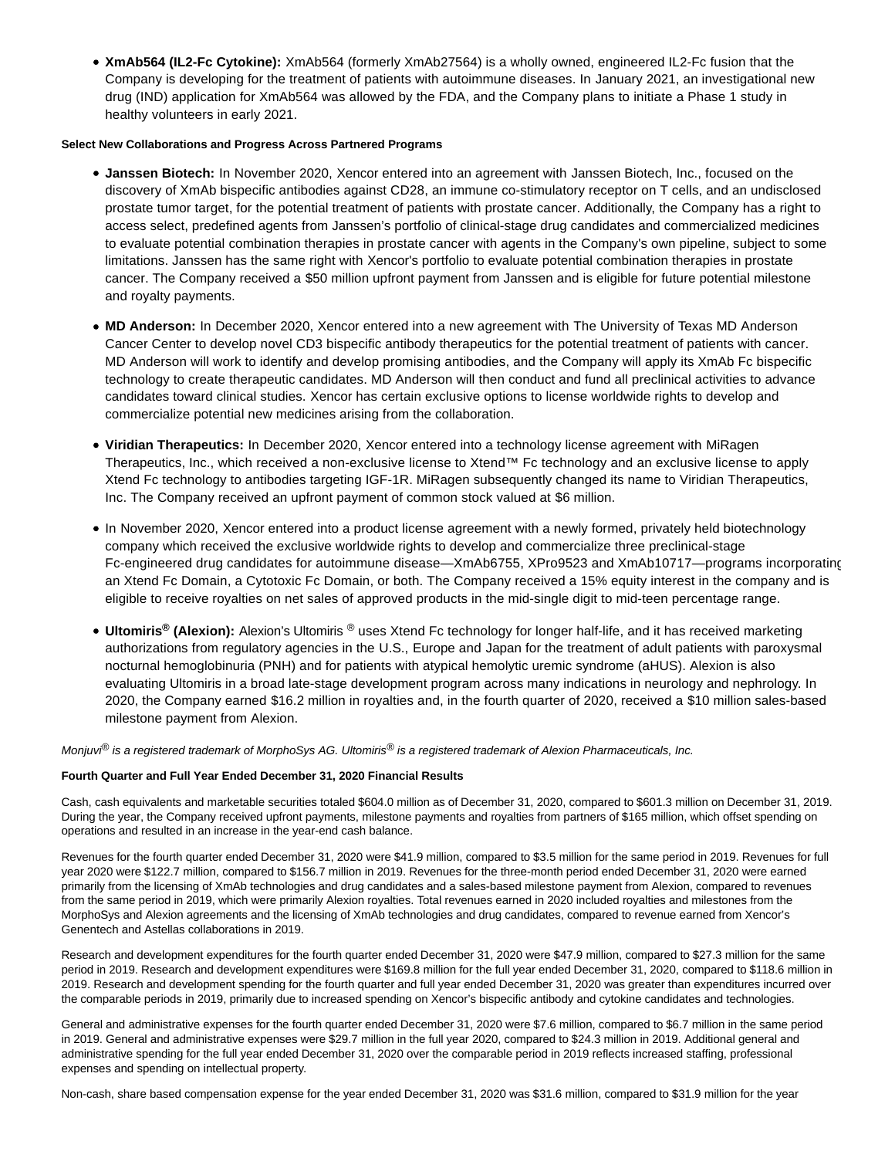**XmAb564 (IL2-Fc Cytokine):** XmAb564 (formerly XmAb27564) is a wholly owned, engineered IL2-Fc fusion that the Company is developing for the treatment of patients with autoimmune diseases. In January 2021, an investigational new drug (IND) application for XmAb564 was allowed by the FDA, and the Company plans to initiate a Phase 1 study in healthy volunteers in early 2021.

### **Select New Collaborations and Progress Across Partnered Programs**

- **Janssen Biotech:** In November 2020, Xencor entered into an agreement with Janssen Biotech, Inc., focused on the discovery of XmAb bispecific antibodies against CD28, an immune co-stimulatory receptor on T cells, and an undisclosed prostate tumor target, for the potential treatment of patients with prostate cancer. Additionally, the Company has a right to access select, predefined agents from Janssen's portfolio of clinical-stage drug candidates and commercialized medicines to evaluate potential combination therapies in prostate cancer with agents in the Company's own pipeline, subject to some limitations. Janssen has the same right with Xencor's portfolio to evaluate potential combination therapies in prostate cancer. The Company received a \$50 million upfront payment from Janssen and is eligible for future potential milestone and royalty payments.
- **MD Anderson:** In December 2020, Xencor entered into a new agreement with The University of Texas MD Anderson Cancer Center to develop novel CD3 bispecific antibody therapeutics for the potential treatment of patients with cancer. MD Anderson will work to identify and develop promising antibodies, and the Company will apply its XmAb Fc bispecific technology to create therapeutic candidates. MD Anderson will then conduct and fund all preclinical activities to advance candidates toward clinical studies. Xencor has certain exclusive options to license worldwide rights to develop and commercialize potential new medicines arising from the collaboration.
- **Viridian Therapeutics:** In December 2020, Xencor entered into a technology license agreement with MiRagen Therapeutics, Inc., which received a non-exclusive license to Xtend™ Fc technology and an exclusive license to apply Xtend Fc technology to antibodies targeting IGF-1R. MiRagen subsequently changed its name to Viridian Therapeutics, Inc. The Company received an upfront payment of common stock valued at \$6 million.
- In November 2020, Xencor entered into a product license agreement with a newly formed, privately held biotechnology company which received the exclusive worldwide rights to develop and commercialize three preclinical-stage Fc-engineered drug candidates for autoimmune disease—XmAb6755, XPro9523 and XmAb10717—programs incorporating an Xtend Fc Domain, a Cytotoxic Fc Domain, or both. The Company received a 15% equity interest in the company and is eligible to receive royalties on net sales of approved products in the mid-single digit to mid-teen percentage range.
- **Ultomiris® (Alexion):** Alexion's Ultomiris ® uses Xtend Fc technology for longer half-life, and it has received marketing authorizations from regulatory agencies in the U.S., Europe and Japan for the treatment of adult patients with paroxysmal nocturnal hemoglobinuria (PNH) and for patients with atypical hemolytic uremic syndrome (aHUS). Alexion is also evaluating Ultomiris in a broad late-stage development program across many indications in neurology and nephrology. In 2020, the Company earned \$16.2 million in royalties and, in the fourth quarter of 2020, received a \$10 million sales-based milestone payment from Alexion.

Monjuvi<sup>®</sup> is a registered trademark of MorphoSys AG. Ultomiris® is a registered trademark of Alexion Pharmaceuticals, Inc.

## **Fourth Quarter and Full Year Ended December 31, 2020 Financial Results**

Cash, cash equivalents and marketable securities totaled \$604.0 million as of December 31, 2020, compared to \$601.3 million on December 31, 2019. During the year, the Company received upfront payments, milestone payments and royalties from partners of \$165 million, which offset spending on operations and resulted in an increase in the year-end cash balance.

Revenues for the fourth quarter ended December 31, 2020 were \$41.9 million, compared to \$3.5 million for the same period in 2019. Revenues for full year 2020 were \$122.7 million, compared to \$156.7 million in 2019. Revenues for the three-month period ended December 31, 2020 were earned primarily from the licensing of XmAb technologies and drug candidates and a sales-based milestone payment from Alexion, compared to revenues from the same period in 2019, which were primarily Alexion royalties. Total revenues earned in 2020 included royalties and milestones from the MorphoSys and Alexion agreements and the licensing of XmAb technologies and drug candidates, compared to revenue earned from Xencor's Genentech and Astellas collaborations in 2019.

Research and development expenditures for the fourth quarter ended December 31, 2020 were \$47.9 million, compared to \$27.3 million for the same period in 2019. Research and development expenditures were \$169.8 million for the full year ended December 31, 2020, compared to \$118.6 million in 2019. Research and development spending for the fourth quarter and full year ended December 31, 2020 was greater than expenditures incurred over the comparable periods in 2019, primarily due to increased spending on Xencor's bispecific antibody and cytokine candidates and technologies.

General and administrative expenses for the fourth quarter ended December 31, 2020 were \$7.6 million, compared to \$6.7 million in the same period in 2019. General and administrative expenses were \$29.7 million in the full year 2020, compared to \$24.3 million in 2019. Additional general and administrative spending for the full year ended December 31, 2020 over the comparable period in 2019 reflects increased staffing, professional expenses and spending on intellectual property.

Non-cash, share based compensation expense for the year ended December 31, 2020 was \$31.6 million, compared to \$31.9 million for the year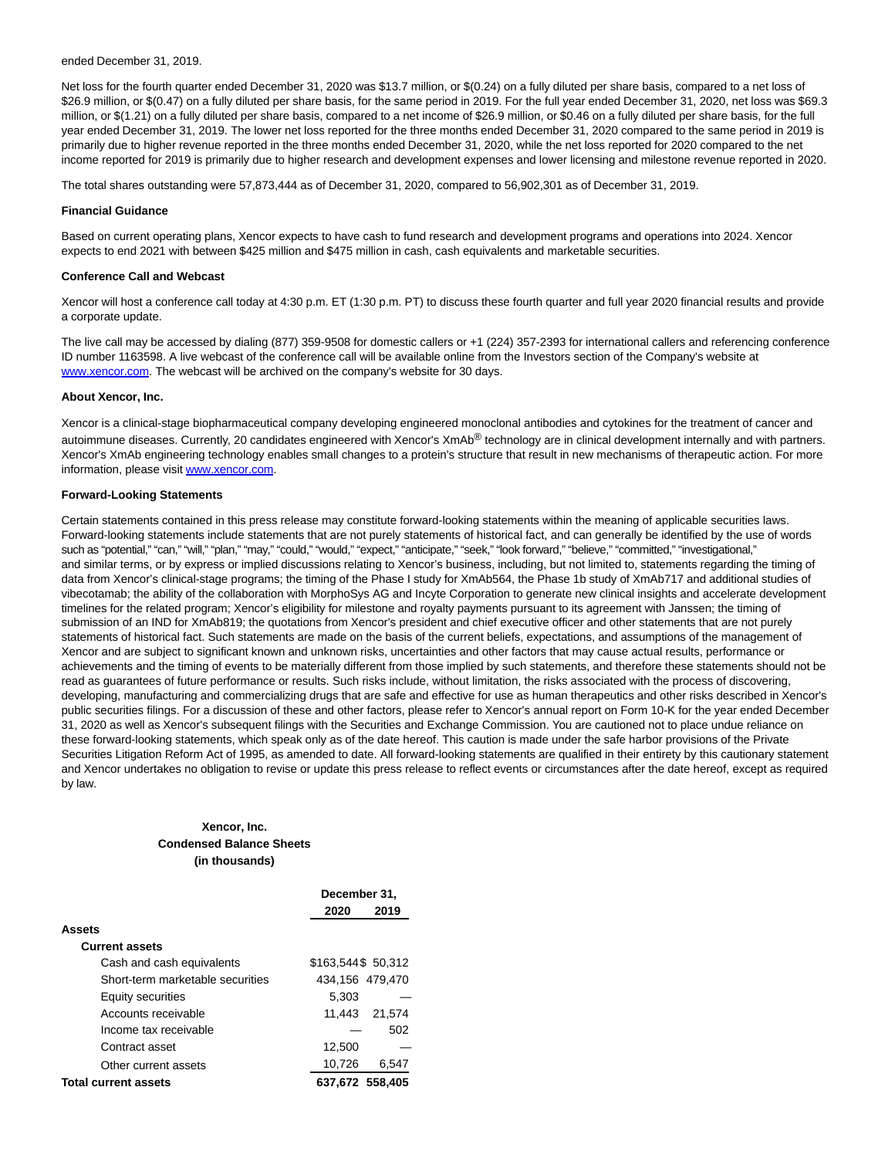#### ended December 31, 2019.

Net loss for the fourth quarter ended December 31, 2020 was \$13.7 million, or \$(0.24) on a fully diluted per share basis, compared to a net loss of \$26.9 million, or \$(0.47) on a fully diluted per share basis, for the same period in 2019. For the full year ended December 31, 2020, net loss was \$69.3 million, or \$(1.21) on a fully diluted per share basis, compared to a net income of \$26.9 million, or \$0.46 on a fully diluted per share basis, for the full year ended December 31, 2019. The lower net loss reported for the three months ended December 31, 2020 compared to the same period in 2019 is primarily due to higher revenue reported in the three months ended December 31, 2020, while the net loss reported for 2020 compared to the net income reported for 2019 is primarily due to higher research and development expenses and lower licensing and milestone revenue reported in 2020.

The total shares outstanding were 57,873,444 as of December 31, 2020, compared to 56,902,301 as of December 31, 2019.

#### **Financial Guidance**

Based on current operating plans, Xencor expects to have cash to fund research and development programs and operations into 2024. Xencor expects to end 2021 with between \$425 million and \$475 million in cash, cash equivalents and marketable securities.

#### **Conference Call and Webcast**

Xencor will host a conference call today at 4:30 p.m. ET (1:30 p.m. PT) to discuss these fourth quarter and full year 2020 financial results and provide a corporate update.

The live call may be accessed by dialing (877) 359-9508 for domestic callers or +1 (224) 357-2393 for international callers and referencing conference ID number 1163598. A live webcast of the conference call will be available online from the Investors section of the Company's website at [www.xencor.com.](https://cts.businesswire.com/ct/CT?id=smartlink&url=https%3A%2F%2Fwww.xencor.com%2F&esheet=52384085&newsitemid=20210223006077&lan=en-US&anchor=www.xencor.com&index=2&md5=4bb7ec81abb443ee519c6c2b85b57c3d) The webcast will be archived on the company's website for 30 days.

#### **About Xencor, Inc.**

Xencor is a clinical-stage biopharmaceutical company developing engineered monoclonal antibodies and cytokines for the treatment of cancer and autoimmune diseases. Currently, 20 candidates engineered with Xencor's XmAb<sup>®</sup> technology are in clinical development internally and with partners. Xencor's XmAb engineering technology enables small changes to a protein's structure that result in new mechanisms of therapeutic action. For more information, please visi[t www.xencor.com.](https://cts.businesswire.com/ct/CT?id=smartlink&url=https%3A%2F%2Fwww.xencor.com%2F&esheet=52384085&newsitemid=20210223006077&lan=en-US&anchor=www.xencor.com&index=3&md5=96616603c93246994e0a5d5aac7802e8)

### **Forward-Looking Statements**

Certain statements contained in this press release may constitute forward-looking statements within the meaning of applicable securities laws. Forward-looking statements include statements that are not purely statements of historical fact, and can generally be identified by the use of words such as "potential," "can," "will," "plan," "may," "could," "would," "expect," "anticipate," "seek," "look forward," "believe," "committed," "investigational," and similar terms, or by express or implied discussions relating to Xencor's business, including, but not limited to, statements regarding the timing of data from Xencor's clinical-stage programs; the timing of the Phase I study for XmAb564, the Phase 1b study of XmAb717 and additional studies of vibecotamab; the ability of the collaboration with MorphoSys AG and Incyte Corporation to generate new clinical insights and accelerate development timelines for the related program; Xencor's eligibility for milestone and royalty payments pursuant to its agreement with Janssen; the timing of submission of an IND for XmAb819; the quotations from Xencor's president and chief executive officer and other statements that are not purely statements of historical fact. Such statements are made on the basis of the current beliefs, expectations, and assumptions of the management of Xencor and are subject to significant known and unknown risks, uncertainties and other factors that may cause actual results, performance or achievements and the timing of events to be materially different from those implied by such statements, and therefore these statements should not be read as guarantees of future performance or results. Such risks include, without limitation, the risks associated with the process of discovering, developing, manufacturing and commercializing drugs that are safe and effective for use as human therapeutics and other risks described in Xencor's public securities filings. For a discussion of these and other factors, please refer to Xencor's annual report on Form 10-K for the year ended December 31, 2020 as well as Xencor's subsequent filings with the Securities and Exchange Commission. You are cautioned not to place undue reliance on these forward-looking statements, which speak only as of the date hereof. This caution is made under the safe harbor provisions of the Private Securities Litigation Reform Act of 1995, as amended to date. All forward-looking statements are qualified in their entirety by this cautionary statement and Xencor undertakes no obligation to revise or update this press release to reflect events or circumstances after the date hereof, except as required by law.

# **Xencor, Inc. Condensed Balance Sheets (in thousands)**

|                                  | December 31.       |                 |  |  |
|----------------------------------|--------------------|-----------------|--|--|
|                                  | 2020               | 2019            |  |  |
| <b>Assets</b>                    |                    |                 |  |  |
| <b>Current assets</b>            |                    |                 |  |  |
| Cash and cash equivalents        | \$163,544\$ 50,312 |                 |  |  |
| Short-term marketable securities |                    | 434,156 479,470 |  |  |
| <b>Equity securities</b>         | 5.303              |                 |  |  |
| Accounts receivable              | 11.443             | 21.574          |  |  |
| Income tax receivable            |                    | 502             |  |  |
| Contract asset                   | 12.500             |                 |  |  |
| Other current assets             | 10,726             | 6.547           |  |  |
| <b>Total current assets</b>      |                    | 637.672 558.405 |  |  |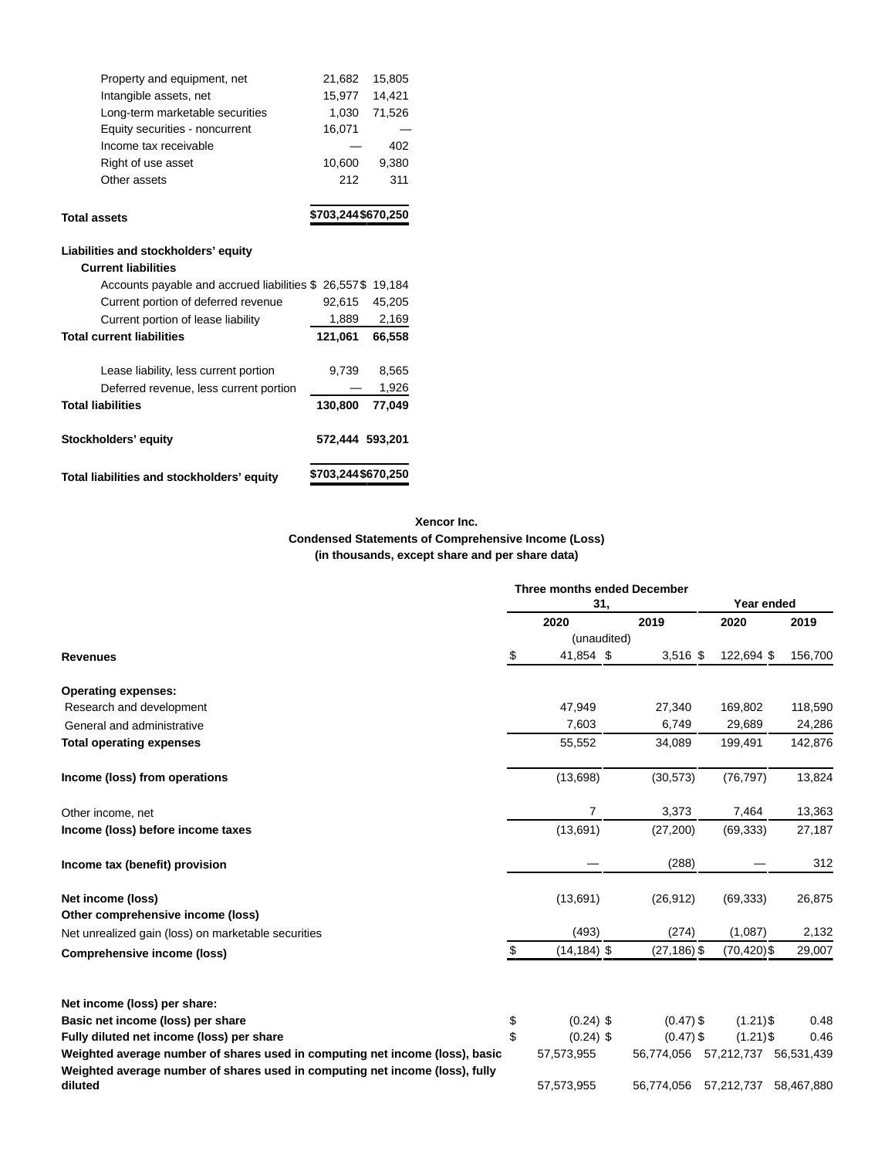| Total liabilities and stockholders' equity          | \$703,244\$670,250 |        |  |
|-----------------------------------------------------|--------------------|--------|--|
| Stockholders' equity                                | 572,444 593,201    |        |  |
| <b>Total liabilities</b>                            | 130,800            | 77.049 |  |
| Deferred revenue, less current portion              |                    | 1,926  |  |
| Lease liability, less current portion               | 9,739              | 8,565  |  |
| <b>Total current liabilities</b>                    | 121,061            | 66,558 |  |
| Current portion of lease liability                  | 1,889              | 2,169  |  |
| Current portion of deferred revenue                 | 92,615             | 45,205 |  |
| Accounts payable and accrued liabilities \$26,557\$ |                    | 19,184 |  |
| <b>Current liabilities</b>                          |                    |        |  |
| Liabilities and stockholders' equity                |                    |        |  |
| <b>Total assets</b>                                 | \$703,244\$670,250 |        |  |
|                                                     |                    |        |  |
| Other assets                                        | 212                | 311    |  |
| Right of use asset                                  | 10,600             | 9.380  |  |
| Income tax receivable                               |                    | 402    |  |
| Equity securities - noncurrent                      | 16,071             |        |  |
| Long-term marketable securities                     | 1,030              | 71,526 |  |
| Intangible assets, net                              | 15,977             | 14,421 |  |
| Property and equipment, net                         | 21,682             | 15,805 |  |

# **Xencor Inc. Condensed Statements of Comprehensive Income (Loss) (in thousands, except share and per share data)**

|                                                                              | <b>Three months ended December</b><br>31, |                |                | Year ended     |            |
|------------------------------------------------------------------------------|-------------------------------------------|----------------|----------------|----------------|------------|
|                                                                              |                                           | 2020           | 2019           | 2020           | 2019       |
|                                                                              |                                           | (unaudited)    |                |                |            |
| <b>Revenues</b>                                                              | \$                                        | 41,854 \$      | $3,516$ \$     | 122,694 \$     | 156,700    |
| <b>Operating expenses:</b>                                                   |                                           |                |                |                |            |
| Research and development                                                     |                                           | 47,949         | 27,340         | 169,802        | 118,590    |
| General and administrative                                                   |                                           | 7,603          | 6,749          | 29,689         | 24,286     |
| <b>Total operating expenses</b>                                              |                                           | 55,552         | 34,089         | 199,491        | 142,876    |
| Income (loss) from operations                                                |                                           | (13,698)       | (30, 573)      | (76, 797)      | 13,824     |
| Other income, net                                                            |                                           | $\overline{7}$ | 3,373          | 7,464          | 13,363     |
| Income (loss) before income taxes                                            |                                           | (13,691)       | (27, 200)      | (69, 333)      | 27,187     |
| Income tax (benefit) provision                                               |                                           |                | (288)          |                | 312        |
| Net income (loss)                                                            |                                           | (13,691)       | (26, 912)      | (69, 333)      | 26,875     |
| Other comprehensive income (loss)                                            |                                           |                |                |                |            |
| Net unrealized gain (loss) on marketable securities                          |                                           | (493)          | (274)          | (1,087)        | 2,132      |
| <b>Comprehensive income (loss)</b>                                           | \$                                        | $(14, 184)$ \$ | $(27, 186)$ \$ | $(70, 420)$ \$ | 29,007     |
| Net income (loss) per share:                                                 |                                           |                |                |                |            |
| Basic net income (loss) per share                                            | \$                                        | $(0.24)$ \$    | $(0.47)$ \$    | $(1.21)$ \$    | 0.48       |
| Fully diluted net income (loss) per share                                    | \$                                        | $(0.24)$ \$    | $(0.47)$ \$    | $(1.21)$ \$    | 0.46       |
| Weighted average number of shares used in computing net income (loss), basic |                                           | 57,573,955     | 56,774,056     | 57,212,737     | 56,531,439 |
| Weighted average number of shares used in computing net income (loss), fully |                                           |                |                |                |            |
| diluted                                                                      |                                           | 57,573,955     | 56,774,056     | 57,212,737     | 58,467,880 |